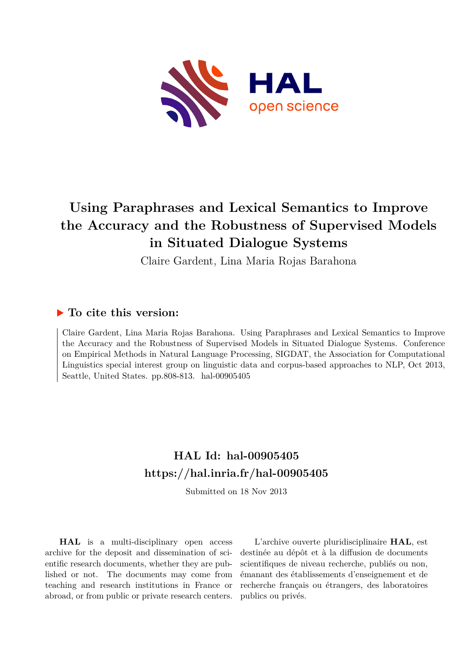

# **Using Paraphrases and Lexical Semantics to Improve the Accuracy and the Robustness of Supervised Models in Situated Dialogue Systems**

Claire Gardent, Lina Maria Rojas Barahona

## **To cite this version:**

Claire Gardent, Lina Maria Rojas Barahona. Using Paraphrases and Lexical Semantics to Improve the Accuracy and the Robustness of Supervised Models in Situated Dialogue Systems. Conference on Empirical Methods in Natural Language Processing, SIGDAT, the Association for Computational Linguistics special interest group on linguistic data and corpus-based approaches to NLP, Oct 2013, Seattle, United States. pp.808-813. hal-00905405

## **HAL Id: hal-00905405 <https://hal.inria.fr/hal-00905405>**

Submitted on 18 Nov 2013

**HAL** is a multi-disciplinary open access archive for the deposit and dissemination of scientific research documents, whether they are published or not. The documents may come from teaching and research institutions in France or abroad, or from public or private research centers.

L'archive ouverte pluridisciplinaire **HAL**, est destinée au dépôt et à la diffusion de documents scientifiques de niveau recherche, publiés ou non, émanant des établissements d'enseignement et de recherche français ou étrangers, des laboratoires publics ou privés.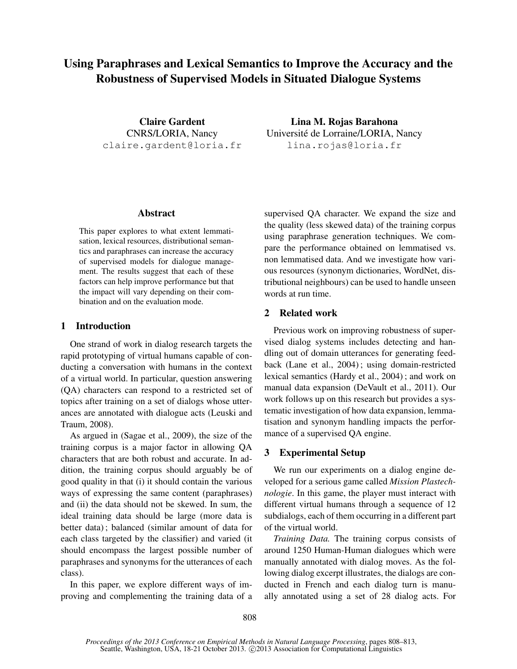### Using Paraphrases and Lexical Semantics to Improve the Accuracy and the Robustness of Supervised Models in Situated Dialogue Systems

Claire Gardent CNRS/LORIA, Nancy claire.gardent@loria.fr

Lina M. Rojas Barahona Université de Lorraine/LORIA, Nancy lina.rojas@loria.fr

#### Abstract

This paper explores to what extent lemmatisation, lexical resources, distributional semantics and paraphrases can increase the accuracy of supervised models for dialogue management. The results suggest that each of these factors can help improve performance but that the impact will vary depending on their combination and on the evaluation mode.

#### 1 Introduction

One strand of work in dialog research targets the rapid prototyping of virtual humans capable of conducting a conversation with humans in the context of a virtual world. In particular, question answering (QA) characters can respond to a restricted set of topics after training on a set of dialogs whose utterances are annotated with dialogue acts (Leuski and Traum, 2008).

As argued in (Sagae et al., 2009), the size of the training corpus is a major factor in allowing QA characters that are both robust and accurate. In addition, the training corpus should arguably be of good quality in that (i) it should contain the various ways of expressing the same content (paraphrases) and (ii) the data should not be skewed. In sum, the ideal training data should be large (more data is better data) ; balanced (similar amount of data for each class targeted by the classifier) and varied (it should encompass the largest possible number of paraphrases and synonyms for the utterances of each class).

In this paper, we explore different ways of improving and complementing the training data of a supervised QA character. We expand the size and the quality (less skewed data) of the training corpus using paraphrase generation techniques. We compare the performance obtained on lemmatised vs. non lemmatised data. And we investigate how various resources (synonym dictionaries, WordNet, distributional neighbours) can be used to handle unseen words at run time.

### 2 Related work

Previous work on improving robustness of supervised dialog systems includes detecting and handling out of domain utterances for generating feedback (Lane et al., 2004) ; using domain-restricted lexical semantics (Hardy et al., 2004) ; and work on manual data expansion (DeVault et al., 2011). Our work follows up on this research but provides a systematic investigation of how data expansion, lemmatisation and synonym handling impacts the performance of a supervised QA engine.

#### 3 Experimental Setup

We run our experiments on a dialog engine developed for a serious game called *Mission Plastechnologie*. In this game, the player must interact with different virtual humans through a sequence of 12 subdialogs, each of them occurring in a different part of the virtual world.

*Training Data.* The training corpus consists of around 1250 Human-Human dialogues which were manually annotated with dialog moves. As the following dialog excerpt illustrates, the dialogs are conducted in French and each dialog turn is manually annotated using a set of 28 dialog acts. For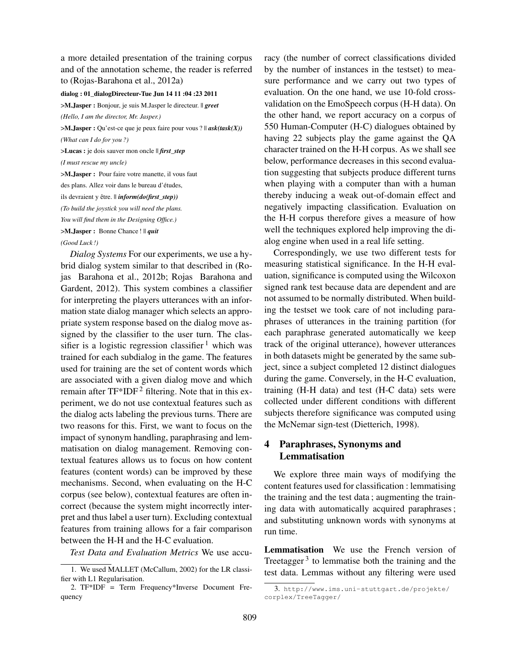a more detailed presentation of the training corpus and of the annotation scheme, the reader is referred to (Rojas-Barahona et al., 2012a)

dialog : 01\_dialogDirecteur-Tue Jun 14 11 :04 :23 2011

>M.Jasper : Bonjour, je suis M.Jasper le directeur. || *greet*

*(Hello, I am the director, Mr. Jasper.)*

>**M.Jasper :** Qu'est-ce que je peux faire pour vous ? ||  $ask(task(X))$ *(What can I do for you ?)* >Lucas : je dois sauver mon oncle || *first\_step (I must rescue my uncle)* >M.Jasper : Pour faire votre manette, il vous faut

des plans. Allez voir dans le bureau d'études,

ils devraient y être. || *inform(do(first\_step))*

*(To build the joystick you will need the plans.*

*You will find them in the Designing Office.)*

>M.Jasper : Bonne Chance ! || *quit*

#### *(Good Luck !)*

*Dialog Systems* For our experiments, we use a hybrid dialog system similar to that described in (Rojas Barahona et al., 2012b; Rojas Barahona and Gardent, 2012). This system combines a classifier for interpreting the players utterances with an information state dialog manager which selects an appropriate system response based on the dialog move assigned by the classifier to the user turn. The classifier is a logistic regression classifier  $1$  which was trained for each subdialog in the game. The features used for training are the set of content words which are associated with a given dialog move and which remain after  $TF^*IDF^2$  filtering. Note that in this experiment, we do not use contextual features such as the dialog acts labeling the previous turns. There are two reasons for this. First, we want to focus on the impact of synonym handling, paraphrasing and lemmatisation on dialog management. Removing contextual features allows us to focus on how content features (content words) can be improved by these mechanisms. Second, when evaluating on the H-C corpus (see below), contextual features are often incorrect (because the system might incorrectly interpret and thus label a user turn). Excluding contextual features from training allows for a fair comparison between the H-H and the H-C evaluation.

*Test Data and Evaluation Metrics* We use accu-

racy (the number of correct classifications divided by the number of instances in the testset) to measure performance and we carry out two types of evaluation. On the one hand, we use 10-fold crossvalidation on the EmoSpeech corpus (H-H data). On the other hand, we report accuracy on a corpus of 550 Human-Computer (H-C) dialogues obtained by having 22 subjects play the game against the QA character trained on the H-H corpus. As we shall see below, performance decreases in this second evaluation suggesting that subjects produce different turns when playing with a computer than with a human thereby inducing a weak out-of-domain effect and negatively impacting classification. Evaluation on the H-H corpus therefore gives a measure of how well the techniques explored help improving the dialog engine when used in a real life setting.

Correspondingly, we use two different tests for measuring statistical significance. In the H-H evaluation, significance is computed using the Wilcoxon signed rank test because data are dependent and are not assumed to be normally distributed. When building the testset we took care of not including paraphrases of utterances in the training partition (for each paraphrase generated automatically we keep track of the original utterance), however utterances in both datasets might be generated by the same subject, since a subject completed 12 distinct dialogues during the game. Conversely, in the H-C evaluation, training (H-H data) and test (H-C data) sets were collected under different conditions with different subjects therefore significance was computed using the McNemar sign-test (Dietterich, 1998).

#### 4 Paraphrases, Synonyms and Lemmatisation

We explore three main ways of modifying the content features used for classification : lemmatising the training and the test data ; augmenting the training data with automatically acquired paraphrases ; and substituting unknown words with synonyms at run time.

Lemmatisation We use the French version of Treetagger<sup>3</sup> to lemmatise both the training and the test data. Lemmas without any filtering were used

<sup>1.</sup> We used MALLET (McCallum, 2002) for the LR classifier with L1 Regularisation.

<sup>2.</sup> TF\*IDF = Term Frequency\*Inverse Document Frequency

<sup>3.</sup> http://www.ims.uni-stuttgart.de/projekte/ corplex/TreeTagger/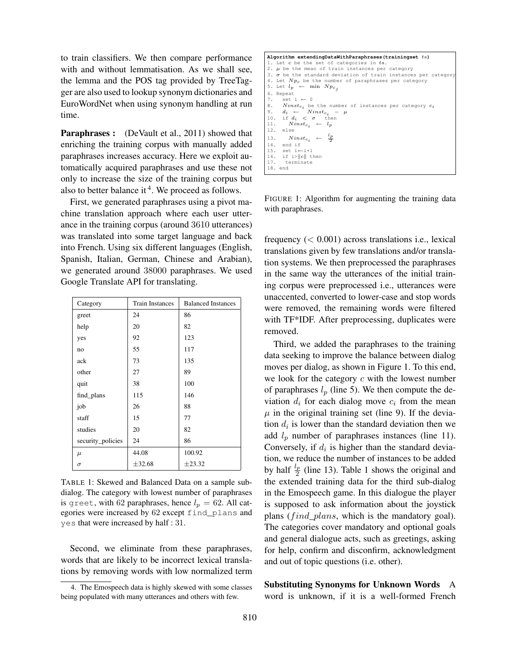to train classifiers. We then compare performance with and without lemmatisation. As we shall see, the lemma and the POS tag provided by TreeTagger are also used to lookup synonym dictionaries and EuroWordNet when using synonym handling at run time.

**Paraphrases :** (DeVault et al., 2011) showed that enriching the training corpus with manually added paraphrases increases accuracy. Here we exploit automatically acquired paraphrases and use these not only to increase the size of the training corpus but also to better balance it  $4$ . We proceed as follows.

First, we generated paraphrases using a pivot machine translation approach where each user utterance in the training corpus (around 3610 utterances) was translated into some target language and back into French. Using six different languages (English, Spanish, Italian, German, Chinese and Arabian), we generated around 38000 paraphrases. We used Google Translate API for translating.

| Category          | <b>Train Instances</b> | <b>Balanced Instances</b> |  |
|-------------------|------------------------|---------------------------|--|
| greet             | 24                     | 86                        |  |
| help              | 20                     | 82                        |  |
| yes               | 92                     | 123                       |  |
| no                | 55                     | 117                       |  |
| ack               | 73                     | 135                       |  |
| other             | 27                     | 89                        |  |
| quit              | 38                     | 100                       |  |
| find_plans        | 115                    | 146                       |  |
| job               | 26                     | 88                        |  |
| staff             | 15                     | 77                        |  |
| studies           | 20                     | 82                        |  |
| security_policies | 24                     | 86                        |  |
| $\mu$             | 44.08                  | 100.92                    |  |
| $\sigma$          | ±32.68                 | ±23.32                    |  |

TABLE 1: Skewed and Balanced Data on a sample subdialog. The category with lowest number of paraphrases is greet, with 62 paraphrases, hence  $l_p = 62$ . All categories were increased by 62 except find\_plans and yes that were increased by half : 31.

Second, we eliminate from these paraphrases, words that are likely to be incorrect lexical translations by removing words with low normalized term



FIGURE 1: Algorithm for augmenting the training data with paraphrases.

frequency  $(< 0.001$ ) across translations i.e., lexical translations given by few translations and/or translation systems. We then preprocessed the paraphrases in the same way the utterances of the initial training corpus were preprocessed i.e., utterances were unaccented, converted to lower-case and stop words were removed, the remaining words were filtered with TF\*IDF. After preprocessing, duplicates were removed.

Third, we added the paraphrases to the training data seeking to improve the balance between dialog moves per dialog, as shown in Figure 1. To this end, we look for the category  $c$  with the lowest number of paraphrases  $l_p$  (line 5). We then compute the deviation  $d_i$  for each dialog move  $c_i$  from the mean  $\mu$  in the original training set (line 9). If the deviation  $d_i$  is lower than the standard deviation then we add  $l_p$  number of paraphrases instances (line 11). Conversely, if  $d_i$  is higher than the standard deviation, we reduce the number of instances to be added by half  $\frac{l_p}{2}$  (line 13). Table 1 shows the original and the extended training data for the third sub-dialog in the Emospeech game. In this dialogue the player is supposed to ask information about the joystick plans  $(find\_plans,$  which is the mandatory goal). The categories cover mandatory and optional goals and general dialogue acts, such as greetings, asking for help, confirm and disconfirm, acknowledgment and out of topic questions (i.e. other).

Substituting Synonyms for Unknown Words A word is unknown, if it is a well-formed French

<sup>4.</sup> The Emospeech data is highly skewed with some classes being populated with many utterances and others with few.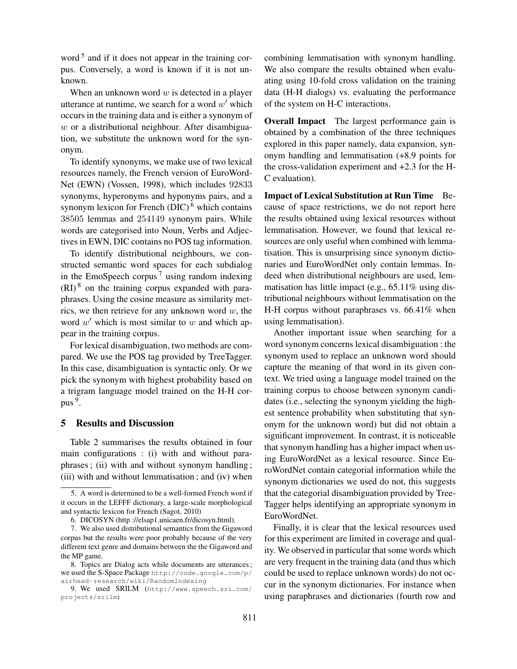word<sup>5</sup> and if it does not appear in the training corpus. Conversely, a word is known if it is not unknown.

When an unknown word  $w$  is detected in a player utterance at runtime, we search for a word  $w'$  which occurs in the training data and is either a synonym of  $w$  or a distributional neighbour. After disambiguation, we substitute the unknown word for the synonym.

To identify synonyms, we make use of two lexical resources namely, the French version of EuroWord-Net (EWN) (Vossen, 1998), which includes 92833 synonyms, hyperonyms and hyponyms pairs, and a synonym lexicon for French (DIC)<sup>6</sup> which contains 38505 lemmas and 254149 synonym pairs. While words are categorised into Noun, Verbs and Adjectives in EWN, DIC contains no POS tag information.

To identify distributional neighbours, we constructed semantic word spaces for each subdialog in the EmoSpeech corpus<sup>7</sup> using random indexing  $(RI)^8$  on the training corpus expanded with paraphrases. Using the cosine measure as similarity metrics, we then retrieve for any unknown word  $w$ , the word  $w'$  which is most similar to  $w$  and which appear in the training corpus.

For lexical disambiguation, two methods are compared. We use the POS tag provided by TreeTagger. In this case, disambiguation is syntactic only. Or we pick the synonym with highest probability based on a trigram language model trained on the H-H corpus <sup>9</sup>.

#### 5 Results and Discussion

Table 2 summarises the results obtained in four main configurations : (i) with and without paraphrases ; (ii) with and without synonym handling ; (iii) with and without lemmatisation ; and (iv) when combining lemmatisation with synonym handling. We also compare the results obtained when evaluating using 10-fold cross validation on the training data (H-H dialogs) vs. evaluating the performance of the system on H-C interactions.

Overall Impact The largest performance gain is obtained by a combination of the three techniques explored in this paper namely, data expansion, synonym handling and lemmatisation (+8.9 points for the cross-validation experiment and +2.3 for the H-C evaluation).

Impact of Lexical Substitution at Run Time Because of space restrictions, we do not report here the results obtained using lexical resources without lemmatisation. However, we found that lexical resources are only useful when combined with lemmatisation. This is unsurprising since synonym dictionaries and EuroWordNet only contain lemmas. Indeed when distributional neighbours are used, lemmatisation has little impact (e.g., 65.11% using distributional neighbours without lemmatisation on the H-H corpus without paraphrases vs. 66.41% when using lemmatisation).

Another important issue when searching for a word synonym concerns lexical disambiguation : the synonym used to replace an unknown word should capture the meaning of that word in its given context. We tried using a language model trained on the training corpus to choose between synonym candidates (i.e., selecting the synonym yielding the highest sentence probability when substituting that synonym for the unknown word) but did not obtain a significant improvement. In contrast, it is noticeable that synonym handling has a higher impact when using EuroWordNet as a lexical resource. Since EuroWordNet contain categorial information while the synonym dictionaries we used do not, this suggests that the categorial disambiguation provided by Tree-Tagger helps identifying an appropriate synonym in EuroWordNet.

Finally, it is clear that the lexical resources used for this experiment are limited in coverage and quality. We observed in particular that some words which are very frequent in the training data (and thus which could be used to replace unknown words) do not occur in the synonym dictionaries. For instance when using paraphrases and dictionaries (fourth row and

<sup>5.</sup> A word is determined to be a well-formed French word if it occurs in the LEFFF dictionary, a large-scale morphological and syntactic lexicon for French (Sagot, 2010)

<sup>6.</sup> DICOSYN (http ://elsap1.unicaen.fr/dicosyn.html).

<sup>7.</sup> We also used distributional semantics from the Gigaword corpus but the results were poor probably because of the very different text genre and domains between the the Gigaword and the MP game.

<sup>8.</sup> Topics are Dialog acts while documents are utterances ; we used the S-Space Package http://code.google.com/p/ airhead-research/wiki/RandomIndexing

<sup>9.</sup> We used SRILM (http://www.speech.sri.com/ projects/srilm)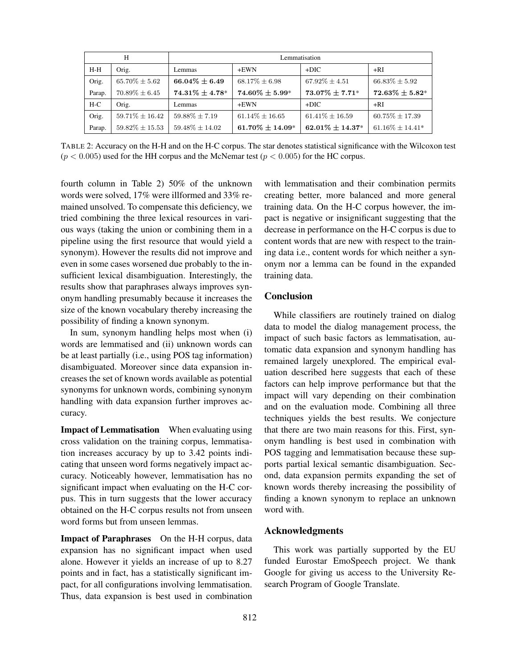| H      |                     | Lemmatisation       |                     |                      |                      |  |
|--------|---------------------|---------------------|---------------------|----------------------|----------------------|--|
| $H-H$  | Orig.               | Lemmas              | $+EWN$              | $+DIC$               | $+RI$                |  |
| Orig.  | $65.70\% \pm 5.62$  | $66.04\% \pm 6.49$  | $68.17\% \pm 6.98$  | $67.92\% \pm 4.51$   | $66.83\% \pm 5.92$   |  |
| Parap. | $70.89\% \pm 6.45$  | $74.31\% \pm 4.78*$ | $74.60\% \pm 5.99*$ | $73.07\% \pm 7.71*$  | $72.63\% \pm 5.82*$  |  |
| $H-C$  | Orig.               | Lemmas              | $+EWN$              | $+DIC$               | $+RI$                |  |
| Orig.  | $59.71\% \pm 16.42$ | $59.88\% \pm 7.19$  | $61.14\% \pm 16.65$ | $61.41\% \pm 16.59$  | $60.75\% \pm 17.39$  |  |
| Parap. | $59.82\% \pm 15.53$ | $59.48\% \pm 14.02$ | 61.70% $\pm$ 14.09* | $62.01\% \pm 14.37*$ | $61.16\% \pm 14.41*$ |  |

TABLE 2: Accuracy on the H-H and on the H-C corpus. The star denotes statistical significance with the Wilcoxon test  $(p < 0.005)$  used for the HH corpus and the McNemar test  $(p < 0.005)$  for the HC corpus.

fourth column in Table 2) 50% of the unknown words were solved, 17% were illformed and 33% remained unsolved. To compensate this deficiency, we tried combining the three lexical resources in various ways (taking the union or combining them in a pipeline using the first resource that would yield a synonym). However the results did not improve and even in some cases worsened due probably to the insufficient lexical disambiguation. Interestingly, the results show that paraphrases always improves synonym handling presumably because it increases the size of the known vocabulary thereby increasing the possibility of finding a known synonym.

In sum, synonym handling helps most when (i) words are lemmatised and (ii) unknown words can be at least partially (i.e., using POS tag information) disambiguated. Moreover since data expansion increases the set of known words available as potential synonyms for unknown words, combining synonym handling with data expansion further improves accuracy.

Impact of Lemmatisation When evaluating using cross validation on the training corpus, lemmatisation increases accuracy by up to 3.42 points indicating that unseen word forms negatively impact accuracy. Noticeably however, lemmatisation has no significant impact when evaluating on the H-C corpus. This in turn suggests that the lower accuracy obtained on the H-C corpus results not from unseen word forms but from unseen lemmas.

Impact of Paraphrases On the H-H corpus, data expansion has no significant impact when used alone. However it yields an increase of up to 8.27 points and in fact, has a statistically significant impact, for all configurations involving lemmatisation. Thus, data expansion is best used in combination with lemmatisation and their combination permits creating better, more balanced and more general training data. On the H-C corpus however, the impact is negative or insignificant suggesting that the decrease in performance on the H-C corpus is due to content words that are new with respect to the training data i.e., content words for which neither a synonym nor a lemma can be found in the expanded training data.

#### Conclusion

While classifiers are routinely trained on dialog data to model the dialog management process, the impact of such basic factors as lemmatisation, automatic data expansion and synonym handling has remained largely unexplored. The empirical evaluation described here suggests that each of these factors can help improve performance but that the impact will vary depending on their combination and on the evaluation mode. Combining all three techniques yields the best results. We conjecture that there are two main reasons for this. First, synonym handling is best used in combination with POS tagging and lemmatisation because these supports partial lexical semantic disambiguation. Second, data expansion permits expanding the set of known words thereby increasing the possibility of finding a known synonym to replace an unknown word with.

#### Acknowledgments

This work was partially supported by the EU funded Eurostar EmoSpeech project. We thank Google for giving us access to the University Research Program of Google Translate.